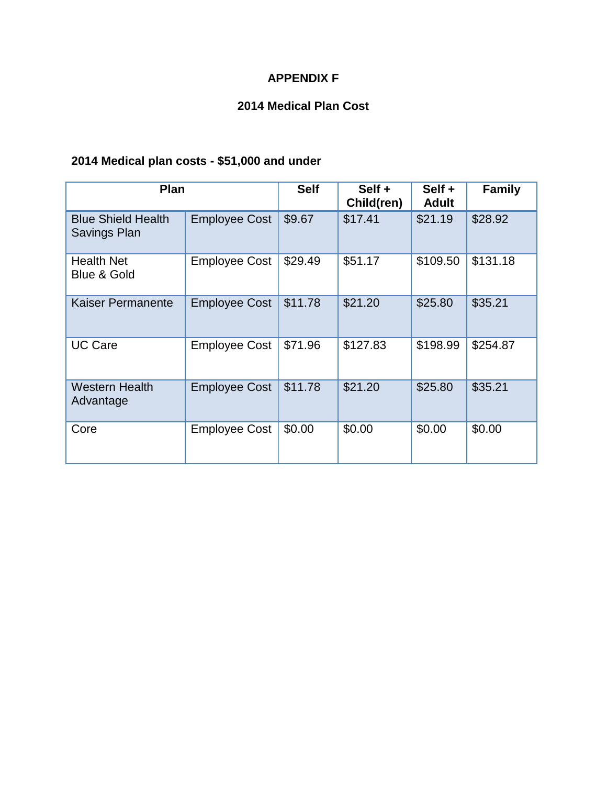### **APPENDIX F**

### **2014 Medical Plan Cost**

## **2014 Medical plan costs - \$51,000 and under**

| <b>Plan</b>                               |                      | <b>Self</b> | Self +<br>Child(ren) | Self +<br><b>Adult</b> | <b>Family</b> |
|-------------------------------------------|----------------------|-------------|----------------------|------------------------|---------------|
| <b>Blue Shield Health</b><br>Savings Plan | <b>Employee Cost</b> | \$9.67      | \$17.41              | \$21.19                | \$28.92       |
| <b>Health Net</b><br>Blue & Gold          | <b>Employee Cost</b> | \$29.49     | \$51.17              | \$109.50               | \$131.18      |
| <b>Kaiser Permanente</b>                  | <b>Employee Cost</b> | \$11.78     | \$21.20              | \$25.80                | \$35.21       |
| <b>UC Care</b>                            | <b>Employee Cost</b> | \$71.96     | \$127.83             | \$198.99               | \$254.87      |
| <b>Western Health</b><br>Advantage        | <b>Employee Cost</b> | \$11.78     | \$21.20              | \$25.80                | \$35.21       |
| Core                                      | <b>Employee Cost</b> | \$0.00      | \$0.00               | \$0.00                 | \$0.00        |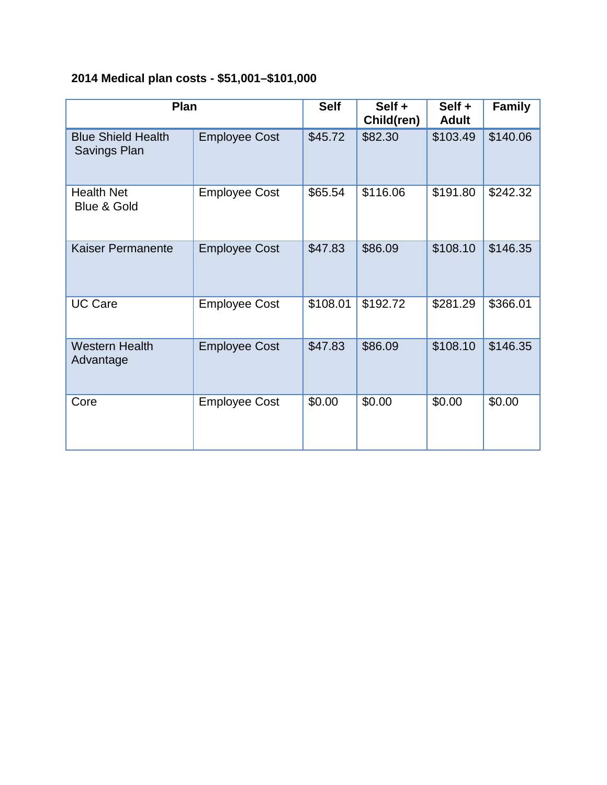# **2014 Medical plan costs - \$51,001–\$101,000**

| Plan                                      |                      | <b>Self</b> | Self +<br>Child(ren) | Self +<br><b>Adult</b> | <b>Family</b> |
|-------------------------------------------|----------------------|-------------|----------------------|------------------------|---------------|
| <b>Blue Shield Health</b><br>Savings Plan | <b>Employee Cost</b> | \$45.72     | \$82.30              | \$103.49               | \$140.06      |
| <b>Health Net</b><br>Blue & Gold          | <b>Employee Cost</b> | \$65.54     | \$116.06             | \$191.80               | \$242.32      |
| <b>Kaiser Permanente</b>                  | <b>Employee Cost</b> | \$47.83     | \$86.09              | \$108.10               | \$146.35      |
| <b>UC Care</b>                            | <b>Employee Cost</b> | \$108.01    | \$192.72             | \$281.29               | \$366.01      |
| <b>Western Health</b><br>Advantage        | <b>Employee Cost</b> | \$47.83     | \$86.09              | \$108.10               | \$146.35      |
| Core                                      | <b>Employee Cost</b> | \$0.00      | \$0.00               | \$0.00                 | \$0.00        |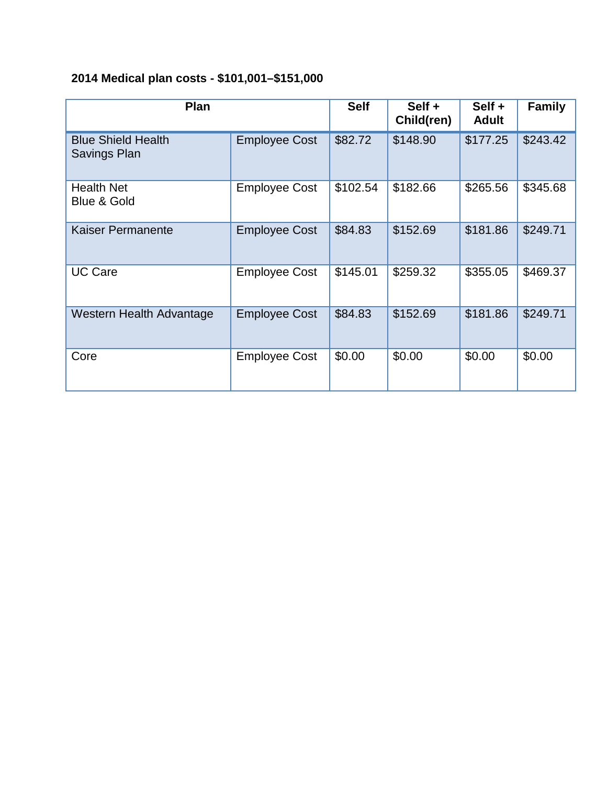## **2014 Medical plan costs - \$101,001–\$151,000**

| Plan                                      |                      | <b>Self</b> | Self +<br>Child(ren) | Self +<br><b>Adult</b> | <b>Family</b> |
|-------------------------------------------|----------------------|-------------|----------------------|------------------------|---------------|
| <b>Blue Shield Health</b><br>Savings Plan | <b>Employee Cost</b> | \$82.72     | \$148.90             | \$177.25               | \$243.42      |
| <b>Health Net</b><br>Blue & Gold          | <b>Employee Cost</b> | \$102.54    | \$182.66             | \$265.56               | \$345.68      |
| Kaiser Permanente                         | <b>Employee Cost</b> | \$84.83     | \$152.69             | \$181.86               | \$249.71      |
| <b>UC Care</b>                            | <b>Employee Cost</b> | \$145.01    | \$259.32             | \$355.05               | \$469.37      |
| Western Health Advantage                  | <b>Employee Cost</b> | \$84.83     | \$152.69             | \$181.86               | \$249.71      |
| Core                                      | <b>Employee Cost</b> | \$0.00      | \$0.00               | \$0.00                 | \$0.00        |